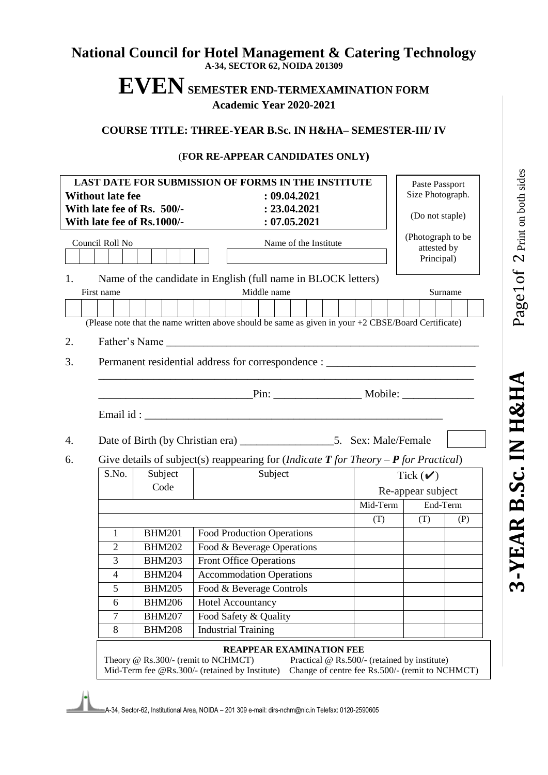#### **National Council for Hotel Management & Catering Technology A-34, SECTOR 62, NOIDA 201309**

# **EVENSEMESTER END-TERMEXAMINATION FORM Academic Year 2020-2021**

#### **COURSE TITLE: THREE-YEAR B.Sc. IN H&HA– SEMESTER-III/ IV**

#### (**FOR RE-APPEAR CANDIDATES ONLY)**

| LAST DATE FOR SUBMISSION OF FORMS IN THE INSTITUTE<br><b>Without late fee</b><br>: 09.04.2021<br>: 23.04.2021<br>With late fee of Rs. 500/- |                                                                                                                                                                  |                                                                                                     |  |                            |                                       | Paste Passport<br>Size Photograph.<br>(Do not staple) |  |                                   |                   |  |                           |                   |          |  |                                              |  |                                                 |  |
|---------------------------------------------------------------------------------------------------------------------------------------------|------------------------------------------------------------------------------------------------------------------------------------------------------------------|-----------------------------------------------------------------------------------------------------|--|----------------------------|---------------------------------------|-------------------------------------------------------|--|-----------------------------------|-------------------|--|---------------------------|-------------------|----------|--|----------------------------------------------|--|-------------------------------------------------|--|
| With late fee of Rs.1000/-<br>Council Roll No                                                                                               |                                                                                                                                                                  |                                                                                                     |  |                            | : 07.05.2021<br>Name of the Institute |                                                       |  |                                   |                   |  |                           | (Photograph to be |          |  |                                              |  |                                                 |  |
|                                                                                                                                             |                                                                                                                                                                  |                                                                                                     |  |                            |                                       |                                                       |  |                                   |                   |  | attested by<br>Principal) |                   |          |  |                                              |  |                                                 |  |
| 1.                                                                                                                                          | First name                                                                                                                                                       | Name of the candidate in English (full name in BLOCK letters)                                       |  |                            |                                       |                                                       |  | Middle name                       |                   |  |                           |                   |          |  |                                              |  | Surname                                         |  |
|                                                                                                                                             |                                                                                                                                                                  |                                                                                                     |  |                            |                                       |                                                       |  |                                   |                   |  |                           |                   |          |  |                                              |  |                                                 |  |
|                                                                                                                                             |                                                                                                                                                                  | (Please note that the name written above should be same as given in your +2 CBSE/Board Certificate) |  |                            |                                       |                                                       |  |                                   |                   |  |                           |                   |          |  |                                              |  |                                                 |  |
| 2.                                                                                                                                          |                                                                                                                                                                  |                                                                                                     |  |                            |                                       |                                                       |  |                                   |                   |  |                           |                   |          |  |                                              |  |                                                 |  |
| 3.                                                                                                                                          | Permanent residential address for correspondence : _____________________________                                                                                 |                                                                                                     |  |                            |                                       |                                                       |  |                                   |                   |  |                           |                   |          |  |                                              |  |                                                 |  |
|                                                                                                                                             |                                                                                                                                                                  |                                                                                                     |  |                            |                                       |                                                       |  |                                   |                   |  |                           |                   |          |  |                                              |  |                                                 |  |
|                                                                                                                                             |                                                                                                                                                                  |                                                                                                     |  |                            |                                       |                                                       |  |                                   |                   |  |                           |                   |          |  |                                              |  |                                                 |  |
| 4.                                                                                                                                          |                                                                                                                                                                  |                                                                                                     |  |                            |                                       |                                                       |  |                                   |                   |  |                           |                   |          |  |                                              |  |                                                 |  |
| 6.                                                                                                                                          |                                                                                                                                                                  |                                                                                                     |  |                            |                                       |                                                       |  |                                   |                   |  |                           |                   |          |  |                                              |  |                                                 |  |
|                                                                                                                                             | Give details of subject(s) reappearing for ( <i>Indicate <b>T</b> for Theory <math>-P</math> for Practical</i> )<br>Subject<br>Subject<br>S.No.<br>Tick $(\vee)$ |                                                                                                     |  |                            |                                       |                                                       |  |                                   |                   |  |                           |                   |          |  |                                              |  |                                                 |  |
|                                                                                                                                             |                                                                                                                                                                  | Code                                                                                                |  |                            |                                       |                                                       |  |                                   | Re-appear subject |  |                           |                   |          |  |                                              |  |                                                 |  |
|                                                                                                                                             |                                                                                                                                                                  |                                                                                                     |  |                            | Mid-Term                              |                                                       |  |                                   |                   |  |                           |                   | End-Term |  |                                              |  |                                                 |  |
|                                                                                                                                             |                                                                                                                                                                  |                                                                                                     |  |                            |                                       |                                                       |  |                                   |                   |  |                           |                   | (T)      |  | (T)                                          |  | (P)                                             |  |
|                                                                                                                                             | 1                                                                                                                                                                | <b>BHM201</b>                                                                                       |  |                            |                                       |                                                       |  | <b>Food Production Operations</b> |                   |  |                           |                   |          |  |                                              |  |                                                 |  |
|                                                                                                                                             | $\overline{2}$                                                                                                                                                   | <b>BHM202</b>                                                                                       |  |                            |                                       |                                                       |  | Food & Beverage Operations        |                   |  |                           |                   |          |  |                                              |  |                                                 |  |
|                                                                                                                                             | 3                                                                                                                                                                | <b>BHM203</b>                                                                                       |  |                            |                                       |                                                       |  | <b>Front Office Operations</b>    |                   |  |                           |                   |          |  |                                              |  |                                                 |  |
|                                                                                                                                             | $\overline{4}$                                                                                                                                                   | <b>BHM204</b>                                                                                       |  |                            |                                       |                                                       |  | <b>Accommodation Operations</b>   |                   |  |                           |                   |          |  |                                              |  |                                                 |  |
|                                                                                                                                             | 5                                                                                                                                                                | <b>BHM205</b>                                                                                       |  |                            |                                       |                                                       |  | Food & Beverage Controls          |                   |  |                           |                   |          |  |                                              |  |                                                 |  |
|                                                                                                                                             | 6                                                                                                                                                                | <b>BHM206</b>                                                                                       |  | <b>Hotel Accountancy</b>   |                                       |                                                       |  |                                   |                   |  |                           |                   |          |  |                                              |  |                                                 |  |
|                                                                                                                                             | $\overline{7}$                                                                                                                                                   | <b>BHM207</b>                                                                                       |  |                            |                                       |                                                       |  | Food Safety & Quality             |                   |  |                           |                   |          |  |                                              |  |                                                 |  |
|                                                                                                                                             | 8                                                                                                                                                                | <b>BHM208</b>                                                                                       |  | <b>Industrial Training</b> |                                       |                                                       |  |                                   |                   |  |                           |                   |          |  |                                              |  |                                                 |  |
|                                                                                                                                             |                                                                                                                                                                  | Theory @ Rs.300/- (remit to NCHMCT)<br>Mid-Term fee @Rs.300/- (retained by Institute)               |  |                            |                                       |                                                       |  | REAPPEAR EXAMINATION FEE          |                   |  |                           |                   |          |  | Practical @ Rs.500/- (retained by institute) |  | Change of centre fee Rs.500/- (remit to NCHMCT) |  |

A-34, Sector-62, Institutional Area, NOIDA – 201 309 e-mail: dirs-nchm@nic.in Telefax: 0120-2590605